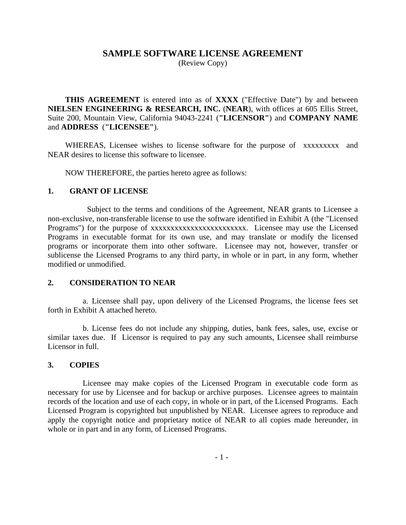# **SAMPLE SOFTWARE LICENSE AGREEMENT**

(Review Copy)

**THIS AGREEMENT** is entered into as of **XXXX** ("Effective Date") by and between **NIELSEN ENGINEERING & RESEARCH, INC.** (**NEAR**), with offices at 605 Ellis Street, Suite 200, Mountain View, California 94043-2241 (**"LICENSOR"**) and **COMPANY NAME**  and **ADDRESS** (**"LICENSEE"**).

WHEREAS, Licensee wishes to license software for the purpose of xxxxxxxxx and NEAR desires to license this software to licensee.

NOW THEREFORE, the parties hereto agree as follows:

#### **1. GRANT OF LICENSE**

 Subject to the terms and conditions of the Agreement, NEAR grants to Licensee a non-exclusive, non-transferable license to use the software identified in Exhibit A (the "Licensed Programs") for the purpose of xxxxxxxxxxxxxxxxxxxxxxxxxxxxx. Licensee may use the Licensed Programs in executable format for its own use, and may translate or modify the licensed programs or incorporate them into other software. Licensee may not, however, transfer or sublicense the Licensed Programs to any third party, in whole or in part, in any form, whether modified or unmodified.

## **2. CONSIDERATION TO NEAR**

 a. Licensee shall pay, upon delivery of the Licensed Programs, the license fees set forth in Exhibit A attached hereto.

 b. License fees do not include any shipping, duties, bank fees, sales, use, excise or similar taxes due. If Licensor is required to pay any such amounts, Licensee shall reimburse Licensor in full.

## **3. COPIES**

 Licensee may make copies of the Licensed Program in executable code form as necessary for use by Licensee and for backup or archive purposes. Licensee agrees to maintain records of the location and use of each copy, in whole or in part, of the Licensed Programs. Each Licensed Program is copyrighted but unpublished by NEAR. Licensee agrees to reproduce and apply the copyright notice and proprietary notice of NEAR to all copies made hereunder, in whole or in part and in any form, of Licensed Programs.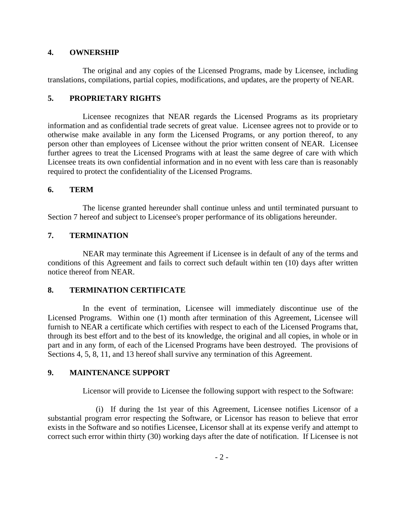#### **4. OWNERSHIP**

 The original and any copies of the Licensed Programs, made by Licensee, including translations, compilations, partial copies, modifications, and updates, are the property of NEAR.

# **5. PROPRIETARY RIGHTS**

 Licensee recognizes that NEAR regards the Licensed Programs as its proprietary information and as confidential trade secrets of great value. Licensee agrees not to provide or to otherwise make available in any form the Licensed Programs, or any portion thereof, to any person other than employees of Licensee without the prior written consent of NEAR. Licensee further agrees to treat the Licensed Programs with at least the same degree of care with which Licensee treats its own confidential information and in no event with less care than is reasonably required to protect the confidentiality of the Licensed Programs.

## **6. TERM**

 The license granted hereunder shall continue unless and until terminated pursuant to Section 7 hereof and subject to Licensee's proper performance of its obligations hereunder.

# **7. TERMINATION**

 NEAR may terminate this Agreement if Licensee is in default of any of the terms and conditions of this Agreement and fails to correct such default within ten (10) days after written notice thereof from NEAR.

## **8. TERMINATION CERTIFICATE**

 In the event of termination, Licensee will immediately discontinue use of the Licensed Programs. Within one (1) month after termination of this Agreement, Licensee will furnish to NEAR a certificate which certifies with respect to each of the Licensed Programs that, through its best effort and to the best of its knowledge, the original and all copies, in whole or in part and in any form, of each of the Licensed Programs have been destroyed. The provisions of Sections 4, 5, 8, 11, and 13 hereof shall survive any termination of this Agreement.

## **9. MAINTENANCE SUPPORT**

Licensor will provide to Licensee the following support with respect to the Software:

 (i) If during the 1st year of this Agreement, Licensee notifies Licensor of a substantial program error respecting the Software, or Licensor has reason to believe that error exists in the Software and so notifies Licensee, Licensor shall at its expense verify and attempt to correct such error within thirty (30) working days after the date of notification. If Licensee is not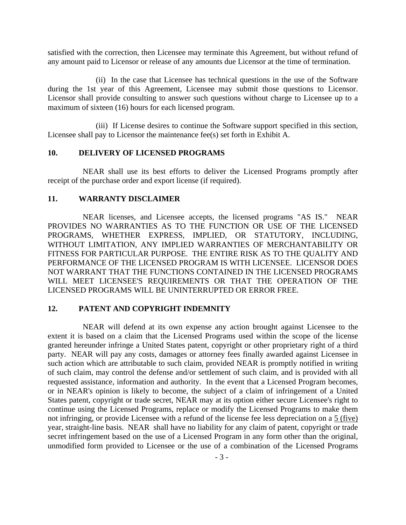satisfied with the correction, then Licensee may terminate this Agreement, but without refund of any amount paid to Licensor or release of any amounts due Licensor at the time of termination.

 (ii) In the case that Licensee has technical questions in the use of the Software during the 1st year of this Agreement, Licensee may submit those questions to Licensor. Licensor shall provide consulting to answer such questions without charge to Licensee up to a maximum of sixteen (16) hours for each licensed program.

 (iii) If License desires to continue the Software support specified in this section, Licensee shall pay to Licensor the maintenance fee(s) set forth in Exhibit A.

#### **10. DELIVERY OF LICENSED PROGRAMS**

 NEAR shall use its best efforts to deliver the Licensed Programs promptly after receipt of the purchase order and export license (if required).

#### **11. WARRANTY DISCLAIMER**

 NEAR licenses, and Licensee accepts, the licensed programs "AS IS." NEAR PROVIDES NO WARRANTIES AS TO THE FUNCTION OR USE OF THE LICENSED PROGRAMS, WHETHER EXPRESS, IMPLIED, OR STATUTORY, INCLUDING, WITHOUT LIMITATION, ANY IMPLIED WARRANTIES OF MERCHANTABILITY OR FITNESS FOR PARTICULAR PURPOSE. THE ENTIRE RISK AS TO THE QUALITY AND PERFORMANCE OF THE LICENSED PROGRAM IS WITH LICENSEE. LICENSOR DOES NOT WARRANT THAT THE FUNCTIONS CONTAINED IN THE LICENSED PROGRAMS WILL MEET LICENSEE'S REQUIREMENTS OR THAT THE OPERATION OF THE LICENSED PROGRAMS WILL BE UNINTERRUPTED OR ERROR FREE.

#### **12. PATENT AND COPYRIGHT INDEMNITY**

 NEAR will defend at its own expense any action brought against Licensee to the extent it is based on a claim that the Licensed Programs used within the scope of the license granted hereunder infringe a United States patent, copyright or other proprietary right of a third party. NEAR will pay any costs, damages or attorney fees finally awarded against Licensee in such action which are attributable to such claim, provided NEAR is promptly notified in writing of such claim, may control the defense and/or settlement of such claim, and is provided with all requested assistance, information and authority. In the event that a Licensed Program becomes, or in NEAR's opinion is likely to become, the subject of a claim of infringement of a United States patent, copyright or trade secret, NEAR may at its option either secure Licensee's right to continue using the Licensed Programs, replace or modify the Licensed Programs to make them not infringing, or provide Licensee with a refund of the license fee less depreciation on a 5 (five) year, straight-line basis. NEAR shall have no liability for any claim of patent, copyright or trade secret infringement based on the use of a Licensed Program in any form other than the original, unmodified form provided to Licensee or the use of a combination of the Licensed Programs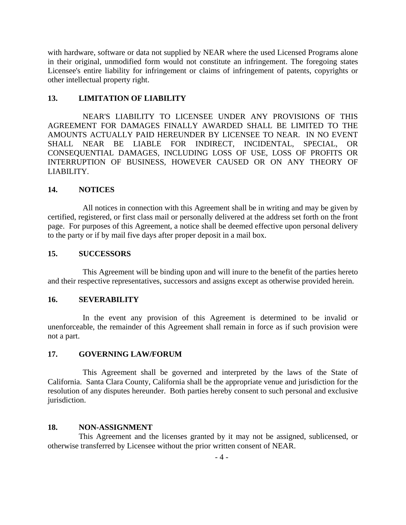with hardware, software or data not supplied by NEAR where the used Licensed Programs alone in their original, unmodified form would not constitute an infringement. The foregoing states Licensee's entire liability for infringement or claims of infringement of patents, copyrights or other intellectual property right.

## **13. LIMITATION OF LIABILITY**

 NEAR'S LIABILITY TO LICENSEE UNDER ANY PROVISIONS OF THIS AGREEMENT FOR DAMAGES FINALLY AWARDED SHALL BE LIMITED TO THE AMOUNTS ACTUALLY PAID HEREUNDER BY LICENSEE TO NEAR. IN NO EVENT SHALL NEAR BE LIABLE FOR INDIRECT, INCIDENTAL, SPECIAL, OR CONSEQUENTIAL DAMAGES, INCLUDING LOSS OF USE, LOSS OF PROFITS OR INTERRUPTION OF BUSINESS, HOWEVER CAUSED OR ON ANY THEORY OF LIABILITY.

#### **14. NOTICES**

 All notices in connection with this Agreement shall be in writing and may be given by certified, registered, or first class mail or personally delivered at the address set forth on the front page. For purposes of this Agreement, a notice shall be deemed effective upon personal delivery to the party or if by mail five days after proper deposit in a mail box.

#### **15. SUCCESSORS**

 This Agreement will be binding upon and will inure to the benefit of the parties hereto and their respective representatives, successors and assigns except as otherwise provided herein.

#### **16. SEVERABILITY**

 In the event any provision of this Agreement is determined to be invalid or unenforceable, the remainder of this Agreement shall remain in force as if such provision were not a part.

#### **17. GOVERNING LAW/FORUM**

 This Agreement shall be governed and interpreted by the laws of the State of California. Santa Clara County, California shall be the appropriate venue and jurisdiction for the resolution of any disputes hereunder. Both parties hereby consent to such personal and exclusive jurisdiction.

#### **18. NON-ASSIGNMENT**

 This Agreement and the licenses granted by it may not be assigned, sublicensed, or otherwise transferred by Licensee without the prior written consent of NEAR.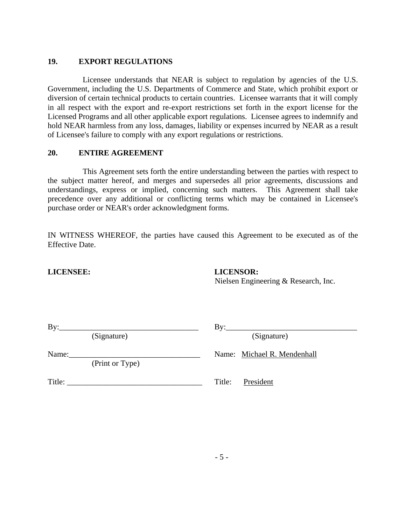# **19. EXPORT REGULATIONS**

 Licensee understands that NEAR is subject to regulation by agencies of the U.S. Government, including the U.S. Departments of Commerce and State, which prohibit export or diversion of certain technical products to certain countries. Licensee warrants that it will comply in all respect with the export and re-export restrictions set forth in the export license for the Licensed Programs and all other applicable export regulations. Licensee agrees to indemnify and hold NEAR harmless from any loss, damages, liability or expenses incurred by NEAR as a result of Licensee's failure to comply with any export regulations or restrictions.

# **20. ENTIRE AGREEMENT**

 This Agreement sets forth the entire understanding between the parties with respect to the subject matter hereof, and merges and supersedes all prior agreements, discussions and understandings, express or implied, concerning such matters. This Agreement shall take precedence over any additional or conflicting terms which may be contained in Licensee's purchase order or NEAR's order acknowledgment forms.

IN WITNESS WHEREOF, the parties have caused this Agreement to be executed as of the Effective Date.

## **LICENSEE: LICENSOR:**

Nielsen Engineering & Research, Inc.

| ۰. | ×<br>۰ |
|----|--------|

(Signature) (Signature)

By:\_\_\_\_\_\_\_\_\_\_\_\_\_\_\_\_\_\_\_\_\_\_\_\_\_\_\_\_\_\_\_\_\_\_\_ By:\_\_\_\_\_\_\_\_\_\_\_\_\_\_\_\_\_\_\_\_\_\_\_\_\_\_\_\_\_\_\_\_\_

Name: Name: Name: Michael R. Mendenhall

(Print or Type)

Title: President